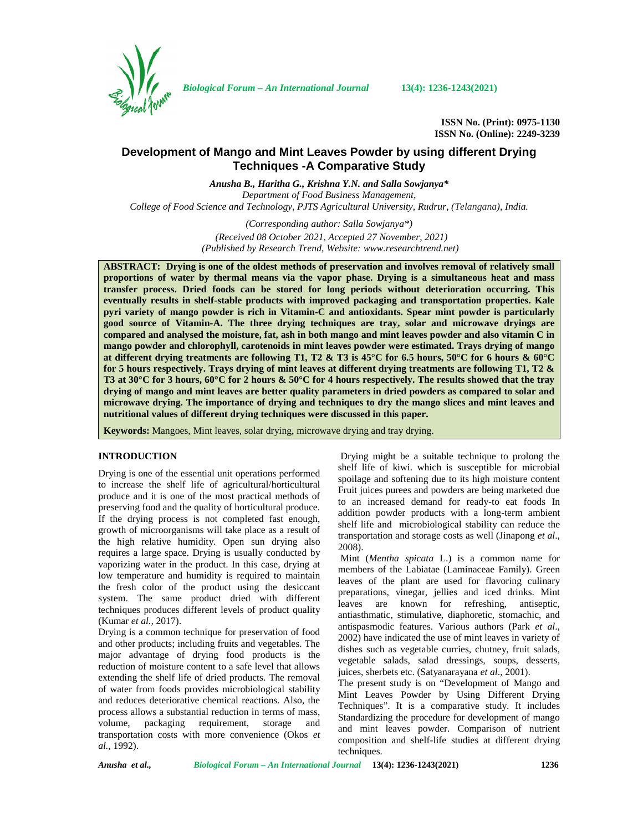

*Biological Forum – An International Journal* **13(4): 1236-1243(2021)**

**ISSN No. (Print): 0975-1130 ISSN No. (Online): 2249-3239**

# **Development of Mango and Mint Leaves Powder by using different Drying Techniques -A Comparative Study**

*Anusha B., Haritha G., Krishna Y.N. and Salla Sowjanya\* Department of Food Business Management, College of Food Science and Technology, PJTS Agricultural University, Rudrur, (Telangana), India.*

> *(Corresponding author: Salla Sowjanya\*) (Received 08 October 2021, Accepted 27 November, 2021) (Published by Research Trend, Website: [www.researchtrend.net\)](www.researchtrend.net)*

**ABSTRACT: Drying is one of the oldest methods of preservation and involves removal of relatively small proportions of water by thermal means via the vapor phase. Drying is a simultaneous heat and mass transfer process. Dried foods can be stored for long periods without deterioration occurring. This eventually results in shelf-stable products with improved packaging and transportation properties. Kale pyri variety of mango powder is rich in Vitamin-C and antioxidants. Spear mint powder is particularly good source of Vitamin-A. The three drying techniques are tray, solar and microwave dryings are compared and analysed the moisture, fat, ash in both mango and mint leaves powder and also vitamin C in mango powder and chlorophyll, carotenoids in mint leaves powder were estimated. Trays drying of mango at different drying treatments are following T1, T2 & T3 is 45°C for 6.5 hours, 50°C for 6 hours & 60°C for 5 hours respectively. Trays drying of mint leaves at different drying treatments are following T1, T2 & T3 at 30°C for 3 hours, 60°C for 2 hours & 50°C for 4 hours respectively. The results showed that the tray drying of mango and mint leaves are better quality parameters in dried powders as compared to solar and microwave drying. The importance of drying and techniques to dry the mango slices and mint leaves and nutritional values of different drying techniques were discussed in this paper.**

**Keywords:** Mangoes, Mint leaves, solar drying, microwave drying and tray drying.

# **INTRODUCTION**

Drying is one of the essential unit operations performed to increase the shelf life of agricultural/horticultural produce and it is one of the most practical methods of preserving food and the quality of horticultural produce. If the drying process is not completed fast enough, growth of microorganisms will take place as a result of the high relative humidity. Open sun drying also requires a large space. Drying is usually conducted by vaporizing water in the product. In this case, drying at low temperature and humidity is required to maintain the fresh color of the product using the desiccant system. The same product dried with different techniques produces different levels of product quality (Kumar *et al.,* 2017).

Drying is a common technique for preservation of food and other products; including fruits and vegetables. The major advantage of drying food products is the reduction of moisture content to a safe level that allows extending the shelf life of dried products. The removal of water from foods provides microbiological stability and reduces deteriorative chemical reactions. Also, the process allows a substantial reduction in terms of mass, volume, packaging requirement, storage and transportation costs with more convenience (Okos *et al.,* 1992).

Drying might be a suitable technique to prolong the shelf life of kiwi. which is susceptible for microbial spoilage and softening due to its high moisture content Fruit juices purees and powders are being marketed due to an increased demand for ready-to eat foods In addition powder products with a long-term ambient shelf life and microbiological stability can reduce the transportation and storage costs as well (Jinapong *et al*., 2008).

Mint (*Mentha spicata* L.) is a common name for members of the Labiatae (Laminaceae Family). Green leaves of the plant are used for flavoring culinary preparations, vinegar, jellies and iced drinks. Mint leaves are known for refreshing, antiseptic, antiasthmatic, stimulative, diaphoretic, stomachic, and antispasmodic features. Various authors (Park *et al*., 2002) have indicated the use of mint leaves in variety of dishes such as vegetable curries, chutney, fruit salads, vegetable salads, salad dressings, soups, desserts, juices, sherbets etc. (Satyanarayana *et al*., 2001).

The present study is on "Development of Mango and Mint Leaves Powder by Using Different Drying Techniques". It is a comparative study. It includes Standardizing the procedure for development of mango and mint leaves powder. Comparison of nutrient composition and shelf-life studies at different drying techniques.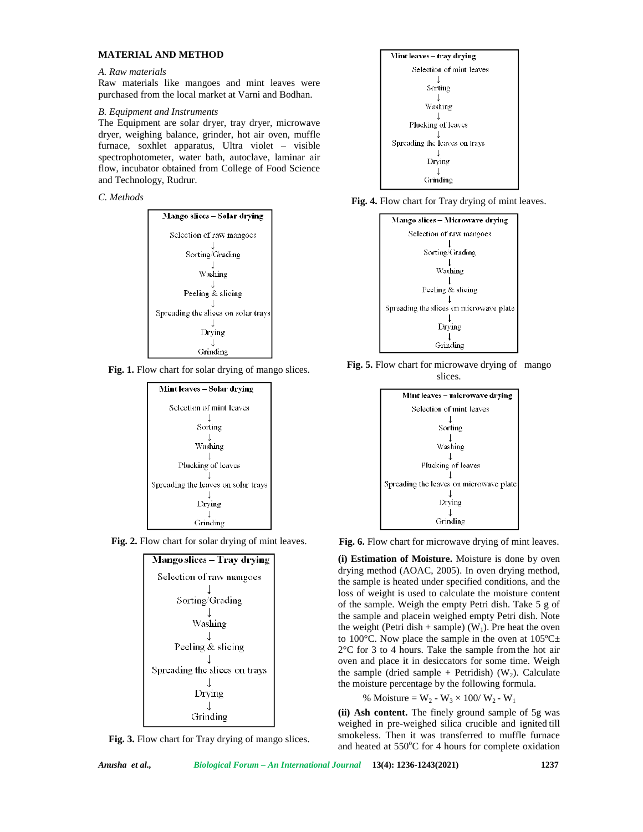### **MATERIAL AND METHOD**

#### *A. Raw materials*

Raw materials like mangoes and mint leaves were purchased from the local market at Varni and Bodhan.

### *B. Equipment and Instruments*

The Equipment are solar dryer, tray dryer, microwave dryer, weighing balance, grinder, hot air oven, muffle furnace, soxhlet apparatus, Ultra violet – visible spectrophotometer, water bath, autoclave, laminar air flow, incubator obtained from College of Food Science and Technology, Rudrur.













**Fig. 3.** Flow chart for Tray drying of mango slices.











**Fig. 6.** Flow chart for microwave drying of mint leaves.

**(i) Estimation of Moisture.** Moisture is done by oven drying method (AOAC, 2005). In oven drying method, the sample is heated under specified conditions, and the loss of weight is used to calculate the moisture content of the sample. Weigh the empty Petri dish. Take 5 g of the sample and placein weighed empty Petri dish. Note the weight (Petri dish + sample) ( $W_1$ ). Pre heat the oven to 100 $^{\circ}$ C. Now place the sample in the oven at 105 $^{\circ}$ C $\pm$ 2°C for 3 to 4 hours. Take the sample fromthe hot air oven and place it in desiccators for some time. Weigh the sample (dried sample + Petridish) ( $W_2$ ). Calculate the moisture percentage by the following formula.

% Moisture =  $W_2 - W_3 \times 100 / W_2 - W_1$ 

**(ii) Ash content.** The finely ground sample of 5g was weighed in pre-weighed silica crucible and ignited till smokeless. Then it was transferred to muffle furnace and heated at  $550^{\circ}$ C for 4 hours for complete oxidation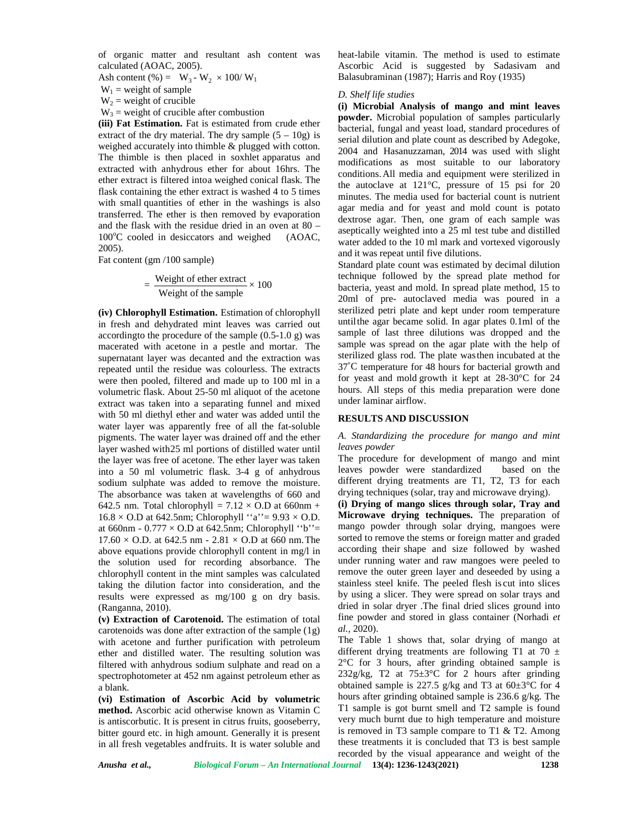of organic matter and resultant ash content was calculated (AOAC, 2005).

Ash content (%) =  $W_3 - W_2 \times 100/W_1$ 

 $W_1$  = weight of sample

 $W_2$  = weight of crucible

 $W_3$  = weight of crucible after combustion

**(iii) Fat Estimation.** Fat is estimated from crude ether extract of the dry material. The dry sample  $(5 - 10g)$  is weighed accurately into thimble & plugged with cotton. The thimble is then placed in soxhlet apparatus and extracted with anhydrous ether for about 16hrs. The ether extract is filtered intoa weighed conical flask. The flask containing the ether extract is washed 4 to 5 times with small quantities of ether in the washings is also transferred. The ether is then removed by evaporation and the flask with the residue dried in an oven at 80 – 100°C cooled in desiccators and weighed (AOAC, 2005).

Fat content (gm /100 sample)

$$
= \frac{\text{Weight of ether extract}}{\text{Weight of the sample}} \times 100
$$

**(iv) Chlorophyll Estimation.** Estimation of chlorophyll in fresh and dehydrated mint leaves was carried out accordingto the procedure of the sample (0.5-1.0 g) was macerated with acetone in a pestle and mortar. The supernatant layer was decanted and the extraction was repeated until the residue was colourless. The extracts were then pooled, filtered and made up to 100 ml in a volumetric flask. About 25-50 ml aliquot of the acetone extract was taken into a separating funnel and mixed with 50 ml diethyl ether and water was added until the water layer was apparently free of all the fat-soluble pigments. The water layer was drained off and the ether layer washed with25 ml portions of distilled water until the layer was free of acetone. The ether layer was taken into a 50 ml volumetric flask. 3-4 g of anhydrous sodium sulphate was added to remove the moisture. The absorbance was taken at wavelengths of 660 and 642.5 nm. Total chlorophyll =  $7.12 \times$  O.D at 660nm +  $16.8 \times$  O.D at 642.5nm; Chlorophyll "a" = 9.93  $\times$  O.D. at 660nm -  $0.777 \times$  O.D at 642.5nm; Chlorophyll "b"=  $17.60 \times$  O.D. at 642.5 nm - 2.81  $\times$  O.D at 660 nm. The above equations provide chlorophyll content in mg/l in the solution used for recording absorbance. The chlorophyll content in the mint samples was calculated taking the dilution factor into consideration, and the results were expressed as mg/100 g on dry basis. (Ranganna, 2010).

**(v) Extraction of Carotenoid.** The estimation of total carotenoids was done after extraction of the sample (1g) with acetone and further purification with petroleum ether and distilled water. The resulting solution was filtered with anhydrous sodium sulphate and read on a spectrophotometer at 452 nm against petroleum ether as a blank.

**(vi) Estimation of Ascorbic Acid by volumetric method.** Ascorbic acid otherwise known as Vitamin C is antiscorbutic. It is present in citrus fruits, gooseberry, bitter gourd etc. in high amount. Generally it is present in all fresh vegetables andfruits. It is water soluble and heat-labile vitamin. The method is used to estimate Ascorbic Acid is suggested by Sadasivam and Balasubraminan (1987); Harris and Roy (1935)

#### *D. Shelf life studies*

**(i) Microbial Analysis of mango and mint leaves powder.** Microbial population of samples particularly bacterial, fungal and yeast load, standard procedures of serial dilution and plate count as described by Adegoke, 2004 and Hasanuzzaman, 2014 was used with slight modifications as most suitable to our laboratory conditions.All media and equipment were sterilized in the autoclave at 121°C, pressure of 15 psi for 20 minutes. The media used for bacterial count is nutrient agar media and for yeast and mold count is potato dextrose agar. Then, one gram of each sample was aseptically weighted into a 25 ml test tube and distilled water added to the 10 ml mark and vortexed vigorously and it was repeat until five dilutions.

 $=\frac{\text{Weight of ether extract}}{\text{Weight of the normal}} \times 100$  technique followed by the spread plate method for bacteria, yeast and mold. In spread plate method, 15 to Standard plate count was estimated by decimal dilution technique followed by the spread plate method for 20ml of pre- autoclaved media was poured in a sterilized petri plate and kept under room temperature untilthe agar became solid. In agar plates 0.1ml of the sample of last three dilutions was dropped and the sample was spread on the agar plate with the help of sterilized glass rod. The plate wasthen incubated at the 37˚C temperature for 48 hours for bacterial growth and for yeast and mold growth it kept at 28-30°C for 24 hours. All steps of this media preparation were done under laminar airflow.

#### **RESULTS AND DISCUSSION**

### *A. Standardizing the procedure for mango and mint leaves powder*

The procedure for development of mango and mint leaves powder were standardized based on the different drying treatments are T1, T2, T3 for each drying techniques (solar, tray and microwave drying).

**(i) Drying of mango slices through solar, Tray and Microwave drying techniques.** The preparation of mango powder through solar drying, mangoes were sorted to remove the stems or foreign matter and graded according their shape and size followed by washed under running water and raw mangoes were peeled to remove the outer green layer and deseeded by using a stainless steel knife. The peeled flesh is cut into slices by using a slicer. They were spread on solar trays and dried in solar dryer .The final dried slices ground into fine powder and stored in glass container (Norhadi *et al.,* 2020).

The Table 1 shows that, solar drying of mango at different drying treatments are following T1 at 70  $\pm$ 2°C for 3 hours, after grinding obtained sample is 232g/kg, T2 at  $75\pm3$ °C for 2 hours after grinding obtained sample is 227.5 g/kg and T3 at  $60\pm3^{\circ}$ C for 4 hours after grinding obtained sample is 236.6 g/kg. The T1 sample is got burnt smell and T2 sample is found very much burnt due to high temperature and moisture is removed in T3 sample compare to T1 & T2. Among these treatments it is concluded that T3 is best sample recorded by the visual appearance and weight of the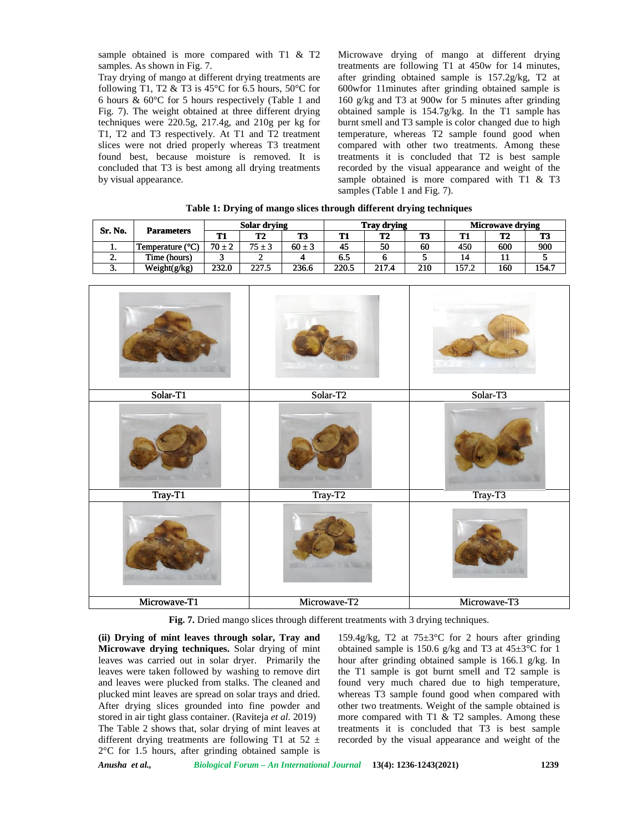sample obtained is more compared with T1 & T2 samples. As shown in Fig. 7.

Microwave drying of mango at different drying treatments are following T1 at 450w for 14 minutes, after grinding obtained sample is 157.2g/kg, T2 at 600wfor 11minutes after grinding obtained sample is 160 g/kg and T3 at 900w for 5 minutes after grinding obtained sample is 154.7g/kg. In the T1 sample has burnt smell and T3 sample is color changed due to high temperature, whereas T2 sample found good when compared with other two treatments. Among these treatments it is concluded that T2 is best sample recorded by the visual appearance and weight of the sample obtained is more compared with T1 & T3 samples (Table 1 and Fig. 7). sample obtained is more compared with T1 & T2 Microwave drying of mango at different drying samples. As shown in Fig. 7. the transmetric are following T1 at 450w for 14 minutes, Tray drying of mango at different drying tr following T1 at 450w for 14 minutes,<br>obtained sample is  $157.2g/kg$ , T2 at<br>utes after grinding obtained sample is<br>3 at 900w for 5 minutes after grinding obtained sample is 154.7g/kg. In the T1 sample has burnt smell and T3 sample is color changed due to high temperature, whereas T2 sample found good when compared with other two treatments. Among these treatments it is con

| Table 1. Drying or mango shees un'ough unterent urying techniques |                   |                     |                |            |                    |       |     |                         |                |       |
|-------------------------------------------------------------------|-------------------|---------------------|----------------|------------|--------------------|-------|-----|-------------------------|----------------|-------|
| Sr. No.                                                           |                   | <b>Solar drying</b> |                |            | <b>Tray drying</b> |       |     | <b>Microwave drying</b> |                |       |
|                                                                   | <b>Parameters</b> | Т1                  | T <sub>2</sub> | T3         | Т1                 | T2    | T3  | T1                      | T <sub>2</sub> | T3    |
| . .                                                               | Temperature (°C)  | $70 \pm 2$          | $75 \pm 3$     | $60 \pm 3$ | 45                 | 50    | 60  | 450                     | 600            | 900   |
| <b>L.</b>                                                         | Time (hours)      |                     |                |            | 6.5                |       |     | 14                      |                |       |
| J.                                                                | Weight(g/kg)      | 232.0               | 227.5          | 236.6      | 220.5              | 217.4 | 210 | 157.2                   | 160            | 154.7 |

**Table 1: Drying of mango slices through different drying techniques Drying mango** 

|                | sample obtained is more compared with T1 & T2<br>samples. As shown in Fig. 7.                                |           | Microwave drying of mango at different drying<br>treatments are following T1 at 450w for 14 minutes, |            |                                                                                                             |                                                                     |                                                    |                                                                                                      |                                           |           |  |
|----------------|--------------------------------------------------------------------------------------------------------------|-----------|------------------------------------------------------------------------------------------------------|------------|-------------------------------------------------------------------------------------------------------------|---------------------------------------------------------------------|----------------------------------------------------|------------------------------------------------------------------------------------------------------|-------------------------------------------|-----------|--|
|                | Tray drying of mango at different drying treatments are                                                      |           |                                                                                                      |            |                                                                                                             |                                                                     | after grinding obtained sample is 157.2g/kg, T2 at |                                                                                                      |                                           |           |  |
|                | following T1, T2 & T3 is 45 $\rm{^{\circ}C}$ for 6.5 hours, 50 $\rm{^{\circ}C}$ for                          |           |                                                                                                      |            |                                                                                                             |                                                                     |                                                    |                                                                                                      |                                           |           |  |
|                | 6 hours $\&$ 60°C for 5 hours respectively (Table 1 and                                                      |           |                                                                                                      |            | 600wfor 11minutes after grinding obtained sample is<br>160 g/kg and T3 at 900w for 5 minutes after grinding |                                                                     |                                                    |                                                                                                      |                                           |           |  |
|                | Fig. 7). The weight obtained at three different drying                                                       |           |                                                                                                      |            |                                                                                                             |                                                                     |                                                    | obtained sample is 154.7g/kg. In the T1 sample has                                                   |                                           |           |  |
|                | techniques were 220.5g, 217.4g, and 210g per kg for                                                          |           |                                                                                                      |            |                                                                                                             |                                                                     |                                                    | burnt smell and T3 sample is color changed due to high                                               |                                           |           |  |
|                | T1, T2 and T3 respectively. At T1 and T2 treatment                                                           |           |                                                                                                      |            |                                                                                                             |                                                                     |                                                    | temperature, whereas T2 sample found good when                                                       |                                           |           |  |
|                | slices were not dried properly whereas T3 treatment<br>found best, because moisture is removed. It is        |           |                                                                                                      |            |                                                                                                             |                                                                     |                                                    | compared with other two treatments. Among these<br>treatments it is concluded that T2 is best sample |                                           |           |  |
|                | concluded that T3 is best among all drying treatments                                                        |           |                                                                                                      |            |                                                                                                             |                                                                     |                                                    | recorded by the visual appearance and weight of the                                                  |                                           |           |  |
|                | by visual appearance.                                                                                        |           |                                                                                                      |            |                                                                                                             |                                                                     |                                                    | sample obtained is more compared with T1 & T3                                                        |                                           |           |  |
|                |                                                                                                              |           |                                                                                                      |            |                                                                                                             | samples (Table 1 and Fig. 7).                                       |                                                    |                                                                                                      |                                           |           |  |
|                |                                                                                                              |           |                                                                                                      |            |                                                                                                             | Table 1: Drying of mango slices through different drying techniques |                                                    |                                                                                                      |                                           |           |  |
|                |                                                                                                              |           |                                                                                                      |            |                                                                                                             |                                                                     |                                                    |                                                                                                      |                                           |           |  |
| Sr. No.        | <b>Parameters</b>                                                                                            | <b>T1</b> | <b>Solar drying</b><br>T <sub>2</sub>                                                                | <b>T3</b>  | <b>T1</b>                                                                                                   | <b>Tray drying</b><br>T <sub>2</sub>                                | T <sub>3</sub>                                     | T1                                                                                                   | <b>Microwave drying</b><br>T <sub>2</sub> | <b>T3</b> |  |
| 1.             | Temperature (°C)                                                                                             | $70\pm2$  | $75\pm3$                                                                                             | $60 \pm 3$ | 45                                                                                                          | 50                                                                  | 60                                                 | 450                                                                                                  | 600                                       | 900       |  |
| 2.             | Time (hours)                                                                                                 | 3         | $\overline{c}$                                                                                       | 4          | 6.5                                                                                                         | 6                                                                   | 5                                                  | 14                                                                                                   | 11                                        | 5         |  |
| 3.             | Weight(g/kg)                                                                                                 | 232.0     | 227.5                                                                                                | 236.6      | 220.5                                                                                                       | 217.4                                                               | 210                                                | 157.2                                                                                                | 160                                       | 154.7     |  |
|                |                                                                                                              |           |                                                                                                      |            |                                                                                                             |                                                                     |                                                    |                                                                                                      |                                           |           |  |
|                |                                                                                                              |           |                                                                                                      |            |                                                                                                             |                                                                     |                                                    |                                                                                                      |                                           |           |  |
|                |                                                                                                              |           |                                                                                                      |            |                                                                                                             |                                                                     |                                                    |                                                                                                      |                                           |           |  |
|                |                                                                                                              |           |                                                                                                      |            |                                                                                                             |                                                                     |                                                    |                                                                                                      |                                           |           |  |
|                |                                                                                                              |           |                                                                                                      |            |                                                                                                             |                                                                     |                                                    |                                                                                                      |                                           |           |  |
|                |                                                                                                              |           |                                                                                                      |            |                                                                                                             |                                                                     |                                                    |                                                                                                      |                                           |           |  |
|                |                                                                                                              |           |                                                                                                      |            |                                                                                                             |                                                                     |                                                    |                                                                                                      |                                           |           |  |
|                |                                                                                                              |           |                                                                                                      |            |                                                                                                             |                                                                     |                                                    |                                                                                                      |                                           |           |  |
|                |                                                                                                              |           |                                                                                                      |            |                                                                                                             |                                                                     |                                                    |                                                                                                      |                                           |           |  |
|                | Solar-T1                                                                                                     |           |                                                                                                      |            | Solar-T2                                                                                                    |                                                                     | Solar-T3                                           |                                                                                                      |                                           |           |  |
|                |                                                                                                              |           |                                                                                                      |            |                                                                                                             |                                                                     |                                                    |                                                                                                      |                                           |           |  |
|                |                                                                                                              |           |                                                                                                      |            |                                                                                                             |                                                                     |                                                    |                                                                                                      |                                           |           |  |
|                |                                                                                                              |           |                                                                                                      |            |                                                                                                             |                                                                     |                                                    |                                                                                                      |                                           |           |  |
|                |                                                                                                              |           |                                                                                                      |            |                                                                                                             |                                                                     |                                                    |                                                                                                      |                                           |           |  |
|                |                                                                                                              |           |                                                                                                      |            |                                                                                                             |                                                                     |                                                    |                                                                                                      |                                           |           |  |
|                |                                                                                                              |           |                                                                                                      |            |                                                                                                             |                                                                     |                                                    |                                                                                                      |                                           |           |  |
|                |                                                                                                              |           |                                                                                                      |            |                                                                                                             |                                                                     |                                                    |                                                                                                      |                                           |           |  |
|                | Tray-T1                                                                                                      |           |                                                                                                      |            | $Tray-T2$                                                                                                   | Tray-T3                                                             |                                                    |                                                                                                      |                                           |           |  |
|                |                                                                                                              |           |                                                                                                      |            |                                                                                                             |                                                                     |                                                    |                                                                                                      |                                           |           |  |
|                |                                                                                                              |           |                                                                                                      |            |                                                                                                             |                                                                     |                                                    |                                                                                                      |                                           |           |  |
|                |                                                                                                              |           |                                                                                                      |            |                                                                                                             |                                                                     |                                                    |                                                                                                      |                                           |           |  |
|                |                                                                                                              |           |                                                                                                      |            |                                                                                                             |                                                                     |                                                    |                                                                                                      |                                           |           |  |
|                |                                                                                                              |           |                                                                                                      |            |                                                                                                             |                                                                     |                                                    |                                                                                                      |                                           |           |  |
|                |                                                                                                              |           |                                                                                                      |            |                                                                                                             |                                                                     |                                                    |                                                                                                      |                                           |           |  |
|                |                                                                                                              |           |                                                                                                      |            |                                                                                                             |                                                                     |                                                    |                                                                                                      |                                           |           |  |
|                | Microwave-T1                                                                                                 |           |                                                                                                      |            | Microwave-T2                                                                                                |                                                                     |                                                    |                                                                                                      | Microwave-T3                              |           |  |
|                |                                                                                                              |           |                                                                                                      |            |                                                                                                             |                                                                     |                                                    |                                                                                                      |                                           |           |  |
|                |                                                                                                              |           |                                                                                                      |            |                                                                                                             |                                                                     |                                                    | Fig. 7. Dried mango slices through different treatments with 3 drying techniques.                    |                                           |           |  |
|                | (ii) Drying of mint leaves through solar, Tray and                                                           |           |                                                                                                      |            |                                                                                                             |                                                                     |                                                    | 159.4g/kg, T2 at $75\pm3$ °C for 2 hours after grinding                                              |                                           |           |  |
|                | Microwave drying techniques. Solar drying of mint                                                            |           |                                                                                                      |            |                                                                                                             |                                                                     |                                                    | obtained sample is 150.6 g/kg and T3 at $45\pm3^{\circ}$ C for 1                                     |                                           |           |  |
|                | leaves was carried out in solar dryer. Primarily the                                                         |           |                                                                                                      |            |                                                                                                             |                                                                     |                                                    | hour after grinding obtained sample is 166.1 g/kg. In                                                |                                           |           |  |
|                | leaves were taken followed by washing to remove dirt<br>and leaves were plucked from stalks. The cleaned and |           |                                                                                                      |            |                                                                                                             |                                                                     |                                                    | the T1 sample is got burnt smell and T2 sample is<br>found very much chared due to high temperature, |                                           |           |  |
|                | plucked mint leaves are spread on solar trays and dried.                                                     |           |                                                                                                      |            |                                                                                                             |                                                                     |                                                    | whereas T3 sample found good when compared with                                                      |                                           |           |  |
|                | After drying slices grounded into fine powder and                                                            |           |                                                                                                      |            |                                                                                                             |                                                                     |                                                    | other two treatments. Weight of the sample obtained is                                               |                                           |           |  |
|                | stored in air tight glass container. (Raviteja et al. 2019)                                                  |           |                                                                                                      |            |                                                                                                             |                                                                     |                                                    | more compared with T1 & T2 samples. Among these                                                      |                                           |           |  |
|                | The Table 2 shows that, solar drying of mint leaves at                                                       |           |                                                                                                      |            |                                                                                                             |                                                                     |                                                    | treatments it is concluded that T3 is best sample                                                    |                                           |           |  |
|                | different drying treatments are following T1 at 52 $\pm$                                                     |           |                                                                                                      |            |                                                                                                             |                                                                     |                                                    | recorded by the visual appearance and weight of the                                                  |                                           |           |  |
|                | $2^{\circ}$ C for 1.5 hours, after grinding obtained sample is                                               |           |                                                                                                      |            |                                                                                                             |                                                                     |                                                    |                                                                                                      |                                           |           |  |
| Anusha et al., |                                                                                                              |           |                                                                                                      |            |                                                                                                             | Biological Forum - An International Journal 13(4): 1236-1243(2021)  |                                                    |                                                                                                      |                                           | 1239      |  |

159.4g/kg, T2 at  $75\pm3$ °C for 2 hours after grinding obtained sample is 150.6 g/kg and T3 at  $45\pm3$ °C for 1 hour after grinding obtained sample is 166.1 g/kg. In the T1 sample is got burnt smell and T2 sample is found very much chared due to high temperature, whereas T3 sample found good when compared with other two treatments. Weight of the sample obtained is more compared with T1  $&$  T2 samples. Among these treatments it is concluded that T3 is best sample recorded by the visual appearance and weight of the 159.4g/kg, T2 at 75±3°C for 2 hours after grinding obtained sample is 150.6 g/kg and T3 at 45±3°C for 1 hour after grinding obtained sample is 166.1 g/kg. In the T1 sample is got burnt smell and T2 sample is found very mu

*Anusha et al., Biological Forum – An International Journal* **13(4): 1236-1243(2021) 1239**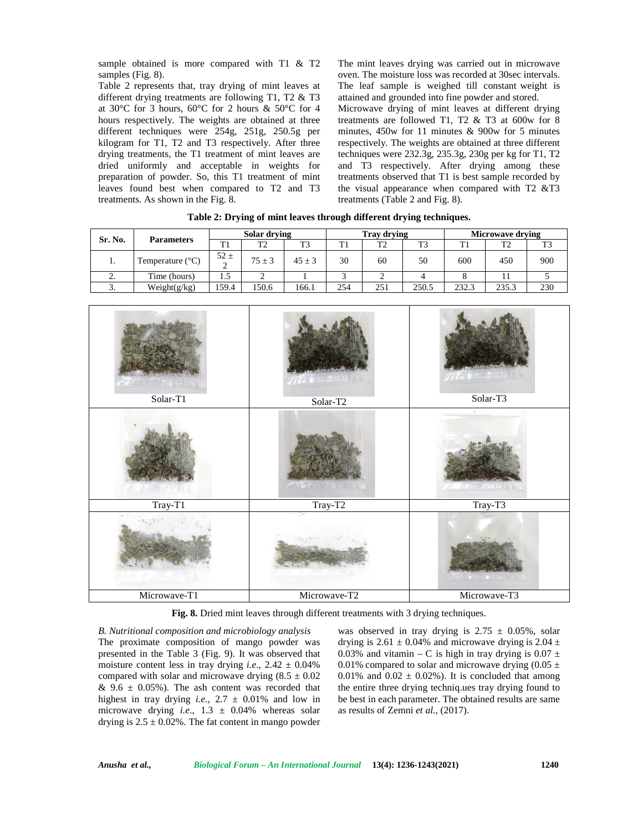sample obtained is more compared with T1 & T2 samples (Fig. 8).

Table 2 represents that, tray drying of mint leaves at different drying treatments are following T1, T2 & T3 at 30°C for 3 hours, 60°C for 2 hours & 50°C for 4 hours respectively. The weights are obtained at three different techniques were 254g, 251g, 250.5g per kilogram for T1, T2 and T3 respectively. After three drying treatments, the T1 treatment of mint leaves are dried uniformly and acceptable in weights for preparation of powder. So, this T1 treatment of mint leaves found best when compared to T2 and T3 treatments. As shown in the Fig. 8.

The mint leaves drying was carried out in microwave oven. The moisture loss was recorded at 30sec intervals. The leaf sample is weighed till constant weight is attained and grounded into fine powder and stored. Microwave drying of mint leaves at different drying treatments are followed T1, T2  $&$  T3 at 600w for 8 minutes, 450w for 11 minutes & 900w for 5 minutes respectively. The weights are obtained at three different techniques were 232.3g, 235.3g, 230g per kg for T1, T2 and T3 respectively. After drying among these treatments observed that T1 is best sample recorded by the visual appearance when compared with  $T2 \& T3$ treatments (Table 2 and Fig. 8).

| Sr. No.  | <b>Parameters</b>         | Solar drying       |                | <b>Tray drying</b> |     |                | <b>Microwave drying</b> |       |       |     |
|----------|---------------------------|--------------------|----------------|--------------------|-----|----------------|-------------------------|-------|-------|-----|
|          |                           | T1                 | T <sub>2</sub> | T <sub>3</sub>     | TT1 | T <sub>2</sub> | T3                      | ъ.    | ፐን    | ጥን  |
| .,       | Temperature $(^{\circ}C)$ | $52 \pm$<br>◠<br>∼ | $75 \pm 3$     | $45 \pm 3$         | 30  | 60             | 50                      | 600   | 450   | 900 |
| ٠.       | Time (hours)              | 1.5                |                |                    |     |                |                         |       |       |     |
| <u>.</u> | Weight(g/kg)              | 159.4              | 150.6          | 166.1              | 254 | 251            | 250.5                   | 232.3 | 235.3 | 230 |

**Table 2: Drying of mint leaves through different drying techniques.**



**Fig. 8.** Dried mint leaves through different treatments with 3 drying techniques.

*B. Nutritional composition and microbiology analysis* The proximate composition of mango powder was presented in the Table 3 (Fig. 9). It was observed that moisture content less in tray drying *i.e.*,  $2.42 \pm 0.04\%$ compared with solar and microwave drying  $(8.5 \pm 0.02)$ &  $9.6 \pm 0.05\%$ ). The ash content was recorded that highest in tray drying *i.e*., 2.7 ± 0.01% and low in microwave drying *i.e*., 1.3 ± 0.04% whereas solar drying is  $2.5 \pm 0.02\%$ . The fat content in mango powder

was observed in tray drying is  $2.75 \pm 0.05\%$ , solar drying is  $2.61 \pm 0.04\%$  and microwave drying is  $2.04 \pm$ 0.03% and vitamin – C is high in tray drying is  $0.07 \pm$ 0.01% compared to solar and microwave drying  $(0.05 \pm 1)$ 0.01% and  $0.02 \pm 0.02$ %). It is concluded that among the entire three drying techniq.ues tray drying found to be best in each parameter. The obtained results are same as results of Zemni *et al.,* (2017).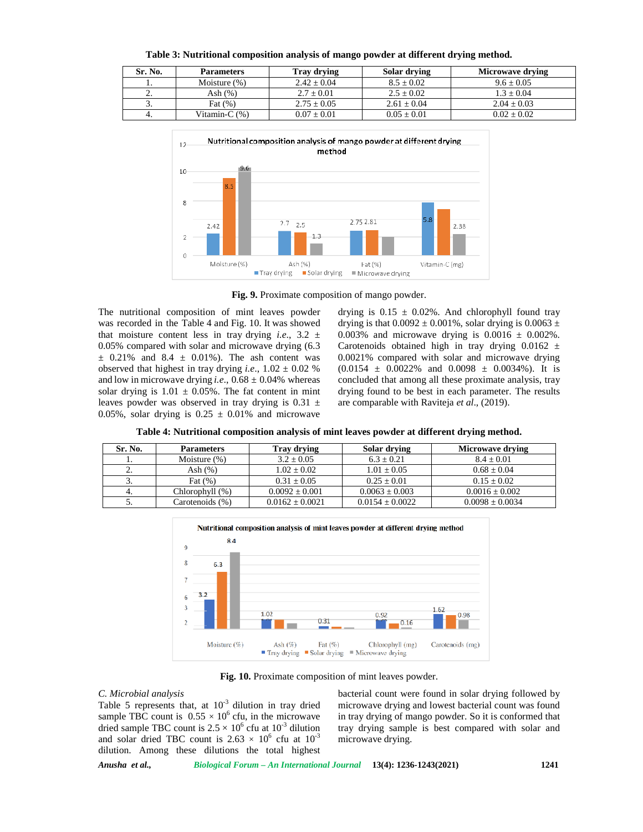**Table 3: Nutritional composition analysis of mango powder at different drying method.**

| Sr. No.  | <b>Parameters</b> | <b>Tray drying</b> | Solar drying  | <b>Microwave drying</b> |
|----------|-------------------|--------------------|---------------|-------------------------|
|          | Moisture $(\%)$   | $2.42 + 0.04$      | $8.5 + 0.02$  | $9.6 \pm 0.05$          |
| <u>.</u> | Ash $(\%)$        | $2.7 \pm 0.01$     | $2.5 + 0.02$  | $1.3 \pm 0.04$          |
| J.       | Fat $(\%)$        | $2.75 \pm 0.05$    | $2.61 + 0.04$ | $2.04 \pm 0.03$         |
| 4.       | Vitamin-C (%)     | $0.07 + 0.01$      | $0.05 + 0.01$ | $0.02 + 0.02$           |



**Fig. 9.** Proximate composition of mango powder.

The nutritional composition of mint leaves powder was recorded in the Table 4 and Fig. 10. It was showed that moisture content less in tray drying *i.e.*,  $3.2 \pm$ 0.05% compared with solar and microwave drying (6.3  $\pm$  0.21% and 8.4  $\pm$  0.01%). The ash content was observed that highest in tray drying *i.e.*,  $1.02 \pm 0.02$  % and low in microwave drying *i.e.*,  $0.68 \pm 0.04\%$  whereas solar drying is  $1.01 \pm 0.05\%$ . The fat content in mint leaves powder was observed in tray drying is  $0.31 \pm$ 0.05%, solar drying is  $0.25 \pm 0.01\%$  and microwave drying is  $0.15 \pm 0.02\%$ . And chlorophyll found tray drying is that  $0.0092 \pm 0.001\%$ , solar drying is  $0.0063 \pm$ 0.003% and microwave drying is  $0.0016 \pm 0.002\%$ . Carotenoids obtained high in tray drying  $0.0162 \pm$ 0.0021% compared with solar and microwave drying  $(0.0154 \pm 0.0022\% \text{ and } 0.0098 \pm 0.0034\%).$  It is concluded that among all these proximate analysis, tray drying found to be best in each parameter. The results are comparable with Raviteja *et al*., (2019).

**Table 4: Nutritional composition analysis of mint leaves powder at different drying method.**

| Sr. No.  | <b>Parameters</b> | Tray drying         | Solar drying        | Microwave drying    |
|----------|-------------------|---------------------|---------------------|---------------------|
|          | Moisture $(\%)$   | $3.2 \pm 0.05$      | $6.3 + 0.21$        | $8.4 + 0.01$        |
| <u>.</u> | Ash $(%)$         | $1.02 + 0.02$       | $1.01 + 0.05$       | $0.68 + 0.04$       |
| J.       | Fat $(% )$        | $0.31 + 0.05$       | $0.25 + 0.01$       | $0.15 + 0.02$       |
| 4.       | Chlorophyll (%)   | $0.0092 + 0.001$    | $0.0063 + 0.003$    | $0.0016 \pm 0.002$  |
| J.       | Carotenoids (%)   | $0.0162 \pm 0.0021$ | $0.0154 \pm 0.0022$ | $0.0098 \pm 0.0034$ |



**Fig. 10.** Proximate composition of mint leaves powder.

### *C. Microbial analysis*

Table 5 represents that, at  $10^{-3}$  dilution in tray dried sample TBC count is  $0.55 \times 10^6$  cfu, in the microwave dried sample TBC count is  $2.5 \times 10^6$  cfu at  $10^{-3}$  dilution and solar dried TBC count is  $2.63 \times 10^6$  cfu at  $10^{-3}$ dilution. Among these dilutions the total highest

bacterial count were found in solar drying followed by microwave drying and lowest bacterial count was found in tray drying of mango powder. So it is conformed that tray drying sample is best compared with solar and microwave drying.

*Anusha et al., Biological Forum – An International Journal* **13(4): 1236-1243(2021) 1241**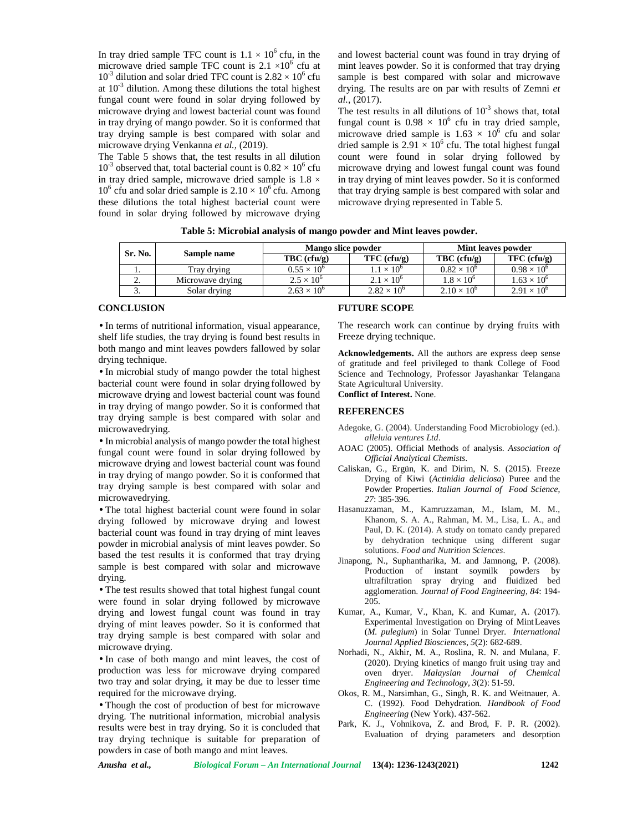In tray dried sample TFC count is  $1.1 \times 10^6$  cfu, in the microwave dried sample TFC count is  $2.1 \times 10^6$  cfu at  $10^{-3}$  dilution and solar dried TFC count is  $2.82 \times 10^{6}$  cfu at  $10^{-3}$  dilution. Among these dilutions the total highest fungal count were found in solar drying followed by microwave drying and lowest bacterial count was found in tray drying of mango powder. So it is conformed that tray drying sample is best compared with solar and microwave drying Venkanna *et al.,* (2019).

The Table 5 shows that, the test results in all dilution  $10^{-3}$  observed that, total bacterial count is  $0.82 \times 10^{6}$  cfu in tray dried sample, microwave dried sample is  $1.8 \times$  $10^6$  cfu and solar dried sample is  $2.10 \times 10^6$  cfu. Among these dilutions the total highest bacterial count were found in solar drying followed by microwave drying

and lowest bacterial count was found in tray drying of mint leaves powder. So it is conformed that tray drying sample is best compared with solar and microwave drying. The results are on par with results of Zemni *et al.*, (2017).

The test results in all dilutions of  $10^{-3}$  shows that, total fungal count is  $0.98 \times 10^6$  cfu in tray dried sample, microwave dried sample is  $1.63 \times 10^6$  cfu and solar dried sample is  $2.91 \times 10^6$  cfu. The total highest fungal count were found in solar drying followed by microwave drying and lowest fungal count was found in tray drying of mint leaves powder. So it is conformed that tray drying sample is best compared with solar and microwave drying represented in Table 5.

| Table 5: Microbial analysis of mango powder and Mint leaves powder. |  |
|---------------------------------------------------------------------|--|
|                                                                     |  |

| Sr. No.  |                  | Mango slice powder   |                      | Mint leaves powder   |                      |  |
|----------|------------------|----------------------|----------------------|----------------------|----------------------|--|
|          | Sample name      | $TBC$ (cfu/g)        | $TFC$ (cfu/g)        | $TBC$ (cfu/g)        | $TFC$ (cfu/g)        |  |
| . .      | Tray drying      | $0.55 \times 10^{6}$ | $1 \times 10^6$      | $0.82 \times 10^{6}$ | $0.98 \times 10^{6}$ |  |
| <u>.</u> | Microwave drying | $2.5 \times 10^{6}$  | $2.1 \times 10^{6}$  | $1.8 \times 10^{6}$  | $1.63 \times 10^{6}$ |  |
| J.       | Solar drving     | $2.63 \times 10^{6}$ | $2.82 \times 10^{6}$ | $2.10 \times 10^{6}$ | $2.91 \times 10^{6}$ |  |

## **CONCLUSION**

• In terms of nutritional information, visual appearance, shelf life studies, the tray drying is found best results in both mango and mint leaves powders fallowed by solar drying technique.

• In microbial study of mango powder the total highest bacterial count were found in solar drying followed by microwave drying and lowest bacterial count was found in tray drying of mango powder. So it is conformed that tray drying sample is best compared with solar and microwavedrying.

• In microbial analysis of mango powder the total highest fungal count were found in solar drying followed by microwave drying and lowest bacterial count was found in tray drying of mango powder. So it is conformed that tray drying sample is best compared with solar and microwavedrying.

• The total highest bacterial count were found in solar drying followed by microwave drying and lowest bacterial count was found in tray drying of mint leaves powder in microbial analysis of mint leaves powder. So based the test results it is conformed that tray drying sample is best compared with solar and microwave drying.

• The test results showed that total highest fungal count were found in solar drying followed by microwave drying and lowest fungal count was found in tray drying of mint leaves powder. So it is conformed that tray drying sample is best compared with solar and microwave drying.

• In case of both mango and mint leaves, the cost of production was less for microwave drying compared two tray and solar drying, it may be due to lesser time required for the microwave drying.

• Though the cost of production of best for microwave drying. The nutritional information, microbial analysis results were best in tray drying. So it is concluded that tray drying technique is suitable for preparation of powders in case of both mango and mint leaves.

## **FUTURE SCOPE**

The research work can continue by drying fruits with Freeze drying technique.

**Acknowledgements.** All the authors are express deep sense of gratitude and feel privileged to thank College of Food Science and Technology, Professor Jayashankar Telangana State Agricultural University.

**Conflict of Interest.** None.

# **REFERENCES**

- Adegoke, G. (2004). Understanding Food Microbiology (ed.). *alleluia ventures Ltd*.
- AOAC (2005). Official Methods of analysis. *Association of Official Analytical Chemists*.
- Caliskan, G., Ergün, K. and Dirim, N. S. (2015). Freeze Drying of Kiwi (Actinidia deliciosa) Puree and the Powder Properties. *Italian Journal of Food Science*, *27*: 385-396.
- Hasanuzzaman, M., Kamruzzaman, M., Islam, M. M., Khanom, S. A. A., Rahman, M. M., Lisa, L. A., and Paul, D. K. (2014). A study on tomato candy prepared by dehydration technique using different sugar solutions. *Food and Nutrition Sciences*.
- Jinapong, N., Suphantharika, M. and Jamnong, P. (2008). Production of instant soymilk powders by ultrafiltration spray drying and fluidized bed agglomeration. *Journal of Food Engineering*, *84*: 194- 205.
- Kumar, A., Kumar, V., Khan, K. and Kumar, A. (2017). Experimental Investigation on Drying of MintLeaves (*M. pulegium*) in Solar Tunnel Dryer*. International Journal Applied Biosciences*, *5*(2): 682-689.
- Norhadi, N., Akhir, M. A., Roslina, R. N. and Mulana, F. (2020). Drying kinetics of mango fruit using tray and oven dryer. *Malaysian Journal of Chemical Engineering and Technology, 3*(2): 51-59.
- Okos, R. M., Narsimhan, G., Singh, R. K. and Weitnauer, A. C. (1992). Food Dehydration*. Handbook of Food Engineering* (New York). 437-562.
- Park, K. J., Vohnikova, Z. and Brod, F. P. R. (2002). Evaluation of drying parameters and desorption